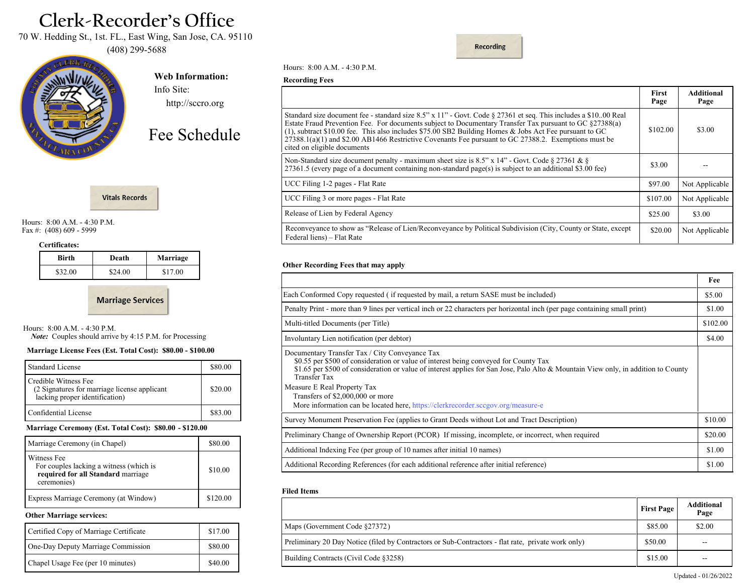# **Clerk-Recorder's Office**

70 W. Hedding St., 1st. FL., East Wing, San Jose, CA. 95110

(408) 299-5688



**Web Information:** Info Site:

http://sccro.org

Fee Schedule



Hours: 8:00 A.M. - 4:30 P.M. Fax #: (408) 609 - 5999

#### **Certificates:**

| Birth   | Death   | Marriage |
|---------|---------|----------|
| \$32.00 | \$24.00 | \$17.00  |

**Marriage Services** 

Hours: 8:00 A.M. - 4:30 P.M.

 *Note:* Couples should arrive by 4:15 P.M. for Processing

# **Marriage License Fees (Est. Total Cost): \$80.00 - \$100.00**

| <b>Standard License</b>                                                                                | \$80.00 |
|--------------------------------------------------------------------------------------------------------|---------|
| Credible Witness Fee<br>(2 Signatures for marriage license applicant<br>lacking proper identification) | \$20.00 |
| Confidential License                                                                                   | \$83.00 |

#### **Marriage Ceremony (Est. Total Cost): \$80.00 - \$120.00**

| Marriage Ceremony (in Chapel)                                                                               | \$80.00  |
|-------------------------------------------------------------------------------------------------------------|----------|
| Witness Fee<br>For couples lacking a witness (which is<br>required for all Standard marriage<br>ceremonies) | \$10.00  |
| Express Marriage Ceremony (at Window)                                                                       | \$120.00 |

#### **Other Marriage services:**

| Certified Copy of Marriage Certificate | \$17.00 |
|----------------------------------------|---------|
| One-Day Deputy Marriage Commission     | \$80.00 |
| Chapel Usage Fee (per 10 minutes)      | \$40.00 |

Hours: 8:00 A.M. - 4:30 P.M.

#### **Recording Fees**

|                                                                                                                                                                                                                                                                                                                                                                                                                                                                                  | <b>First</b><br>Page | <b>Additional</b><br>Page |
|----------------------------------------------------------------------------------------------------------------------------------------------------------------------------------------------------------------------------------------------------------------------------------------------------------------------------------------------------------------------------------------------------------------------------------------------------------------------------------|----------------------|---------------------------|
| Standard size document fee - standard size 8.5" x 11" - Govt. Code § 27361 et seq. This includes a \$10.00 Real<br>Estate Fraud Prevention Fee. For documents subject to Documentary Transfer Tax pursuant to GC §27388(a)<br>$(1)$ , subtract \$10.00 fee. This also includes \$75.00 SB2 Building Homes & Jobs Act Fee pursuant to GC<br>$27388.1(a)(1)$ and \$2.00 AB1466 Restrictive Covenants Fee pursuant to GC 27388.2. Exemptions must be<br>cited on eligible documents | \$102.00             | \$3.00                    |
| Non-Standard size document penalty - maximum sheet size is 8.5" x 14" - Govt. Code § 27361 & §<br>27361.5 (every page of a document containing non-standard page(s) is subject to an additional \$3.00 fee)                                                                                                                                                                                                                                                                      | \$3.00               |                           |
| UCC Filing 1-2 pages - Flat Rate                                                                                                                                                                                                                                                                                                                                                                                                                                                 | \$97.00              | Not Applicable            |
| UCC Filing 3 or more pages - Flat Rate                                                                                                                                                                                                                                                                                                                                                                                                                                           | \$107.00             | Not Applicable            |
| Release of Lien by Federal Agency                                                                                                                                                                                                                                                                                                                                                                                                                                                | \$25.00              | \$3.00                    |
| Reconveyance to show as "Release of Lien/Reconveyance by Political Subdivision (City, County or State, except<br>Federal liens) – Flat Rate                                                                                                                                                                                                                                                                                                                                      | \$20.00              | Not Applicable            |

**Recording** 

#### **Other Recording Fees that may apply**

|                                                                                                                                                                                                                                                                                                                                                                                                                                                     | Fee      |
|-----------------------------------------------------------------------------------------------------------------------------------------------------------------------------------------------------------------------------------------------------------------------------------------------------------------------------------------------------------------------------------------------------------------------------------------------------|----------|
| Each Conformed Copy requested (if requested by mail, a return SASE must be included)                                                                                                                                                                                                                                                                                                                                                                | \$5.00   |
| Penalty Print - more than 9 lines per vertical inch or 22 characters per horizontal inch (per page containing small print)                                                                                                                                                                                                                                                                                                                          | \$1.00   |
| Multi-titled Documents (per Title)                                                                                                                                                                                                                                                                                                                                                                                                                  | \$102.00 |
| Involuntary Lien notification (per debtor)                                                                                                                                                                                                                                                                                                                                                                                                          | \$4.00   |
| Documentary Transfer Tax / City Conveyance Tax<br>\$0.55 per \$500 of consideration or value of interest being conveyed for County Tax<br>\$1.65 per \$500 of consideration or value of interest applies for San Jose, Palo Alto & Mountain View only, in addition to County<br>Transfer Tax<br>Measure E Real Property Tax<br>Transfers of \$2,000,000 or more<br>More information can be located here, https://clerkrecorder.sccgov.org/measure-e |          |
| Survey Monument Preservation Fee (applies to Grant Deeds without Lot and Tract Description)                                                                                                                                                                                                                                                                                                                                                         | \$10.00  |
| Preliminary Change of Ownership Report (PCOR) If missing, incomplete, or incorrect, when required                                                                                                                                                                                                                                                                                                                                                   | \$20.00  |
| Additional Indexing Fee (per group of 10 names after initial 10 names)                                                                                                                                                                                                                                                                                                                                                                              | \$1.00   |
| Additional Recording References (for each additional reference after initial reference)                                                                                                                                                                                                                                                                                                                                                             | \$1.00   |

#### **Filed Items**

|                                                                                                    | <b>First Page</b> | <b>Additional</b><br>Page |
|----------------------------------------------------------------------------------------------------|-------------------|---------------------------|
| Maps (Government Code §27372)                                                                      | \$85.00           | \$2.00                    |
| Preliminary 20 Day Notice (filed by Contractors or Sub-Contractors - flat rate, private work only) | \$50.00           | $- -$                     |
| Building Contracts (Civil Code §3258)                                                              | \$15.00           | $- -$                     |